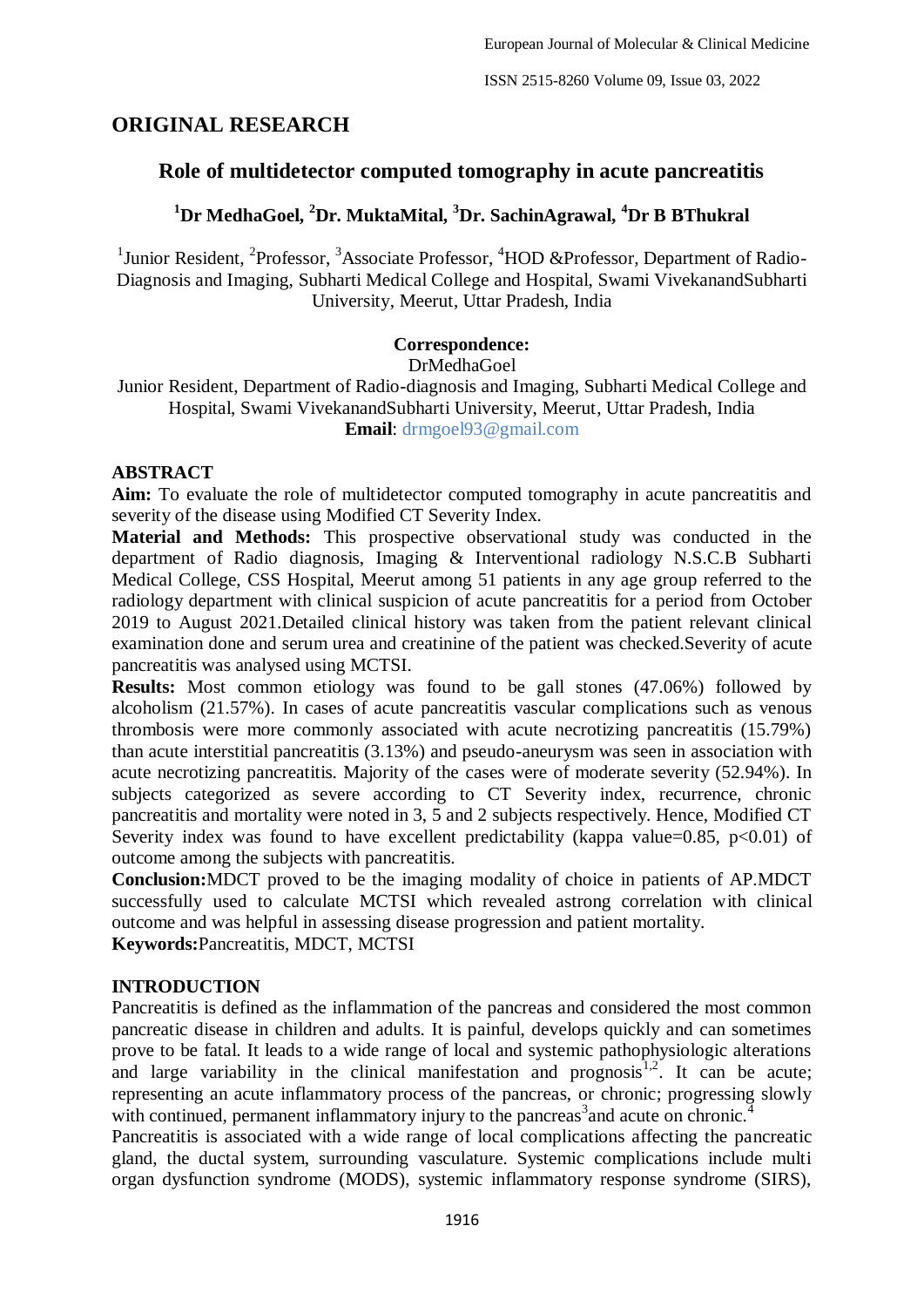# **ORIGINAL RESEARCH**

# **Role of multidetector computed tomography in acute pancreatitis**

# **<sup>1</sup>Dr MedhaGoel, <sup>2</sup>Dr. MuktaMital, <sup>3</sup>Dr. SachinAgrawal, <sup>4</sup>Dr B BThukral**

<sup>1</sup>Junior Resident, <sup>2</sup>Professor, <sup>3</sup>Associate Professor, <sup>4</sup>HOD &Professor, Department of Radio-Diagnosis and Imaging, Subharti Medical College and Hospital, Swami VivekanandSubharti University, Meerut, Uttar Pradesh, India

#### **Correspondence:**

#### DrMedhaGoel

Junior Resident, Department of Radio-diagnosis and Imaging, Subharti Medical College and Hospital, Swami VivekanandSubharti University, Meerut, Uttar Pradesh, India **Email**: drmgoel93@gmail.com

#### **ABSTRACT**

**Aim:** To evaluate the role of multidetector computed tomography in acute pancreatitis and severity of the disease using Modified CT Severity Index.

**Material and Methods:** This prospective observational study was conducted in the department of Radio diagnosis, Imaging & Interventional radiology N.S.C.B Subharti Medical College, CSS Hospital, Meerut among 51 patients in any age group referred to the radiology department with clinical suspicion of acute pancreatitis for a period from October 2019 to August 2021.Detailed clinical history was taken from the patient relevant clinical examination done and serum urea and creatinine of the patient was checked.Severity of acute pancreatitis was analysed using MCTSI.

**Results:** Most common etiology was found to be gall stones (47.06%) followed by alcoholism (21.57%). In cases of acute pancreatitis vascular complications such as venous thrombosis were more commonly associated with acute necrotizing pancreatitis (15.79%) than acute interstitial pancreatitis (3.13%) and pseudo-aneurysm was seen in association with acute necrotizing pancreatitis. Majority of the cases were of moderate severity (52.94%). In subjects categorized as severe according to CT Severity index, recurrence, chronic pancreatitis and mortality were noted in 3, 5 and 2 subjects respectively. Hence, Modified CT Severity index was found to have excellent predictability (kappa value=0.85,  $p<0.01$ ) of outcome among the subjects with pancreatitis.

**Conclusion:**MDCT proved to be the imaging modality of choice in patients of AP.MDCT successfully used to calculate MCTSI which revealed astrong correlation with clinical outcome and was helpful in assessing disease progression and patient mortality. **Keywords:**Pancreatitis, MDCT, MCTSI

#### **INTRODUCTION**

Pancreatitis is defined as the inflammation of the pancreas and considered the most common pancreatic disease in children and adults. It is painful, develops quickly and can sometimes prove to be fatal. It leads to a wide range of local and systemic pathophysiologic alterations and large variability in the clinical manifestation and prognosis<sup>1,2</sup>. It can be acute; representing an acute inflammatory process of the pancreas, or chronic; progressing slowly with continued, permanent inflammatory injury to the pancreas<sup>3</sup> and acute on chronic.<sup>4</sup>

Pancreatitis is associated with a wide range of local complications affecting the pancreatic gland, the ductal system, surrounding vasculature. Systemic complications include multi organ dysfunction syndrome (MODS), systemic inflammatory response syndrome (SIRS),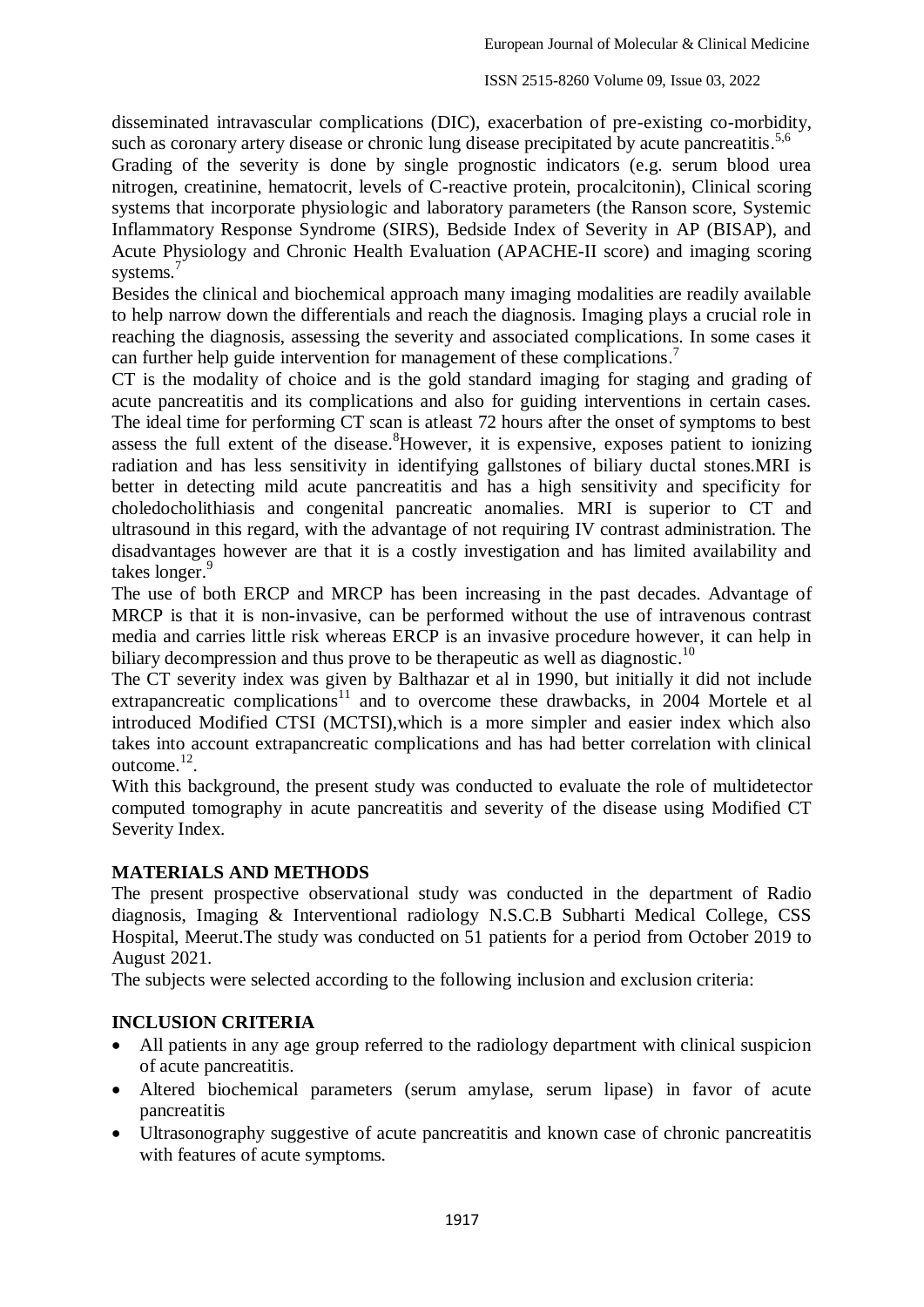disseminated intravascular complications (DIC), exacerbation of pre-existing co-morbidity, such as coronary artery disease or chronic lung disease precipitated by acute pancreatitis.<sup>5,6</sup>

Grading of the severity is done by single prognostic indicators (e.g. serum blood urea nitrogen, creatinine, hematocrit, levels of C-reactive protein, procalcitonin), Clinical scoring systems that incorporate physiologic and laboratory parameters (the Ranson score, Systemic Inflammatory Response Syndrome (SIRS), Bedside Index of Severity in AP (BISAP), and Acute Physiology and Chronic Health Evaluation (APACHE-II score) and imaging scoring systems.<sup>7</sup>

Besides the clinical and biochemical approach many imaging modalities are readily available to help narrow down the differentials and reach the diagnosis. Imaging plays a crucial role in reaching the diagnosis, assessing the severity and associated complications. In some cases it can further help guide intervention for management of these complications.<sup>7</sup>

CT is the modality of choice and is the gold standard imaging for staging and grading of acute pancreatitis and its complications and also for guiding interventions in certain cases. The ideal time for performing CT scan is atleast 72 hours after the onset of symptoms to best assess the full extent of the disease. <sup>8</sup>However, it is expensive, exposes patient to ionizing radiation and has less sensitivity in identifying gallstones of biliary ductal stones.MRI is better in detecting mild acute pancreatitis and has a high sensitivity and specificity for choledocholithiasis and congenital pancreatic anomalies. MRI is superior to CT and ultrasound in this regard, with the advantage of not requiring IV contrast administration. The disadvantages however are that it is a costly investigation and has limited availability and takes longer. 9

The use of both ERCP and MRCP has been increasing in the past decades. Advantage of MRCP is that it is non-invasive, can be performed without the use of intravenous contrast media and carries little risk whereas ERCP is an invasive procedure however, it can help in biliary decompression and thus prove to be therapeutic as well as diagnostic.<sup>10</sup>

The CT severity index was given by Balthazar et al in 1990, but initially it did not include extrapancreatic complications<sup>11</sup> and to overcome these drawbacks, in 2004 Mortele et al introduced Modified CTSI (MCTSI),which is a more simpler and easier index which also takes into account extrapancreatic complications and has had better correlation with clinical outcome.<sup>12</sup>.

With this background, the present study was conducted to evaluate the role of multidetector computed tomography in acute pancreatitis and severity of the disease using Modified CT Severity Index.

## **MATERIALS AND METHODS**

The present prospective observational study was conducted in the department of Radio diagnosis, Imaging & Interventional radiology N.S.C.B Subharti Medical College, CSS Hospital, Meerut.The study was conducted on 51 patients for a period from October 2019 to August 2021.

The subjects were selected according to the following inclusion and exclusion criteria:

## **INCLUSION CRITERIA**

- All patients in any age group referred to the radiology department with clinical suspicion of acute pancreatitis.
- Altered biochemical parameters (serum amylase, serum lipase) in favor of acute pancreatitis
- Ultrasonography suggestive of acute pancreatitis and known case of chronic pancreatitis with features of acute symptoms.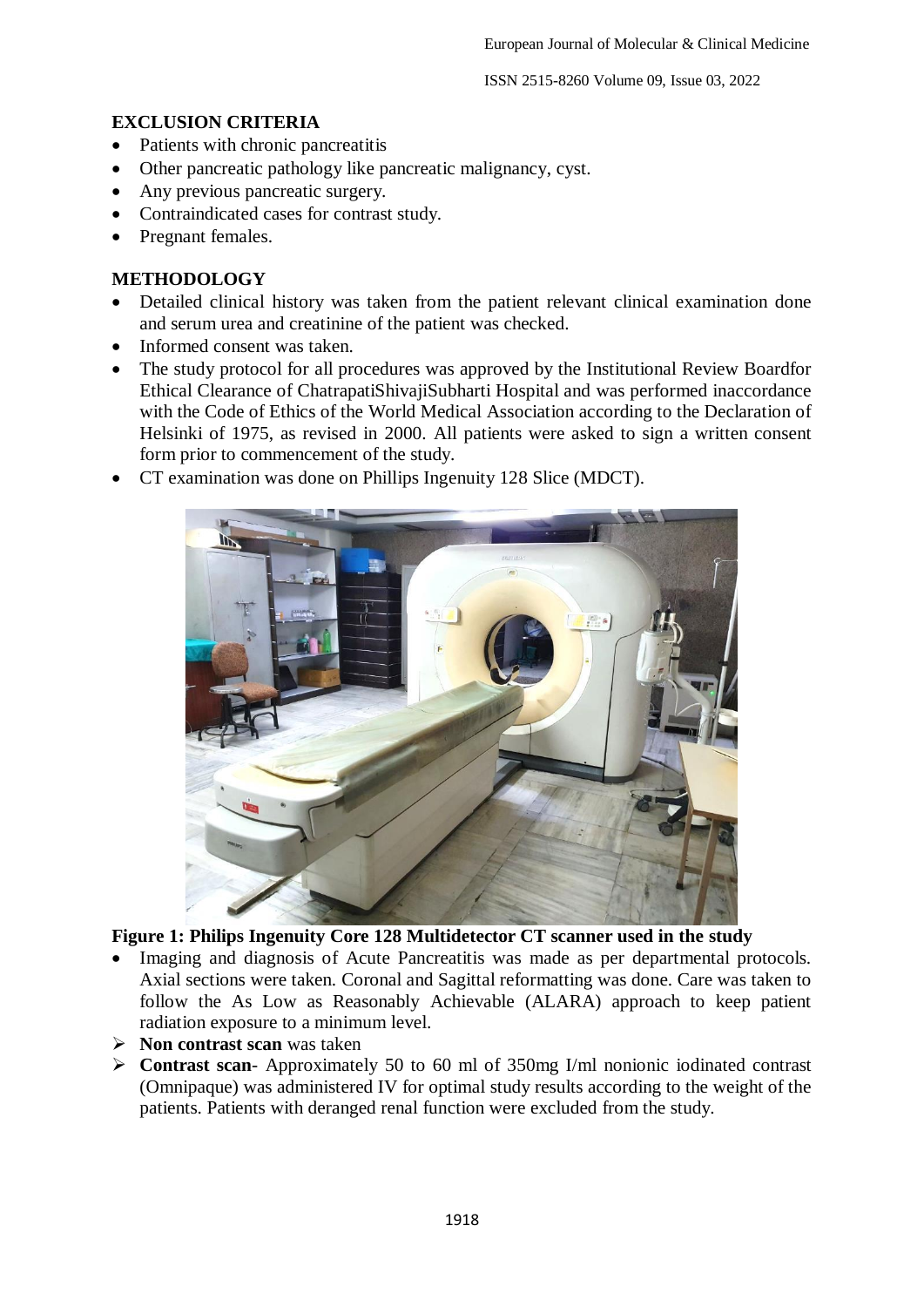## **EXCLUSION CRITERIA**

- Patients with chronic pancreatitis
- Other pancreatic pathology like pancreatic malignancy, cyst.
- Any previous pancreatic surgery.
- Contraindicated cases for contrast study.
- Pregnant females.

### **METHODOLOGY**

- Detailed clinical history was taken from the patient relevant clinical examination done and serum urea and creatinine of the patient was checked.
- Informed consent was taken.
- The study protocol for all procedures was approved by the Institutional Review Boardfor Ethical Clearance of ChatrapatiShivajiSubharti Hospital and was performed inaccordance with the Code of Ethics of the World Medical Association according to the Declaration of Helsinki of 1975, as revised in 2000. All patients were asked to sign a written consent form prior to commencement of the study.
- CT examination was done on Phillips Ingenuity 128 Slice (MDCT).



## **Figure 1: Philips Ingenuity Core 128 Multidetector CT scanner used in the study**

- Imaging and diagnosis of Acute Pancreatitis was made as per departmental protocols. Axial sections were taken. Coronal and Sagittal reformatting was done. Care was taken to follow the As Low as Reasonably Achievable (ALARA) approach to keep patient radiation exposure to a minimum level.
- **Non contrast scan** was taken
- **Contrast scan** Approximately 50 to 60 ml of 350mg I/ml nonionic iodinated contrast (Omnipaque) was administered IV for optimal study results according to the weight of the patients. Patients with deranged renal function were excluded from the study.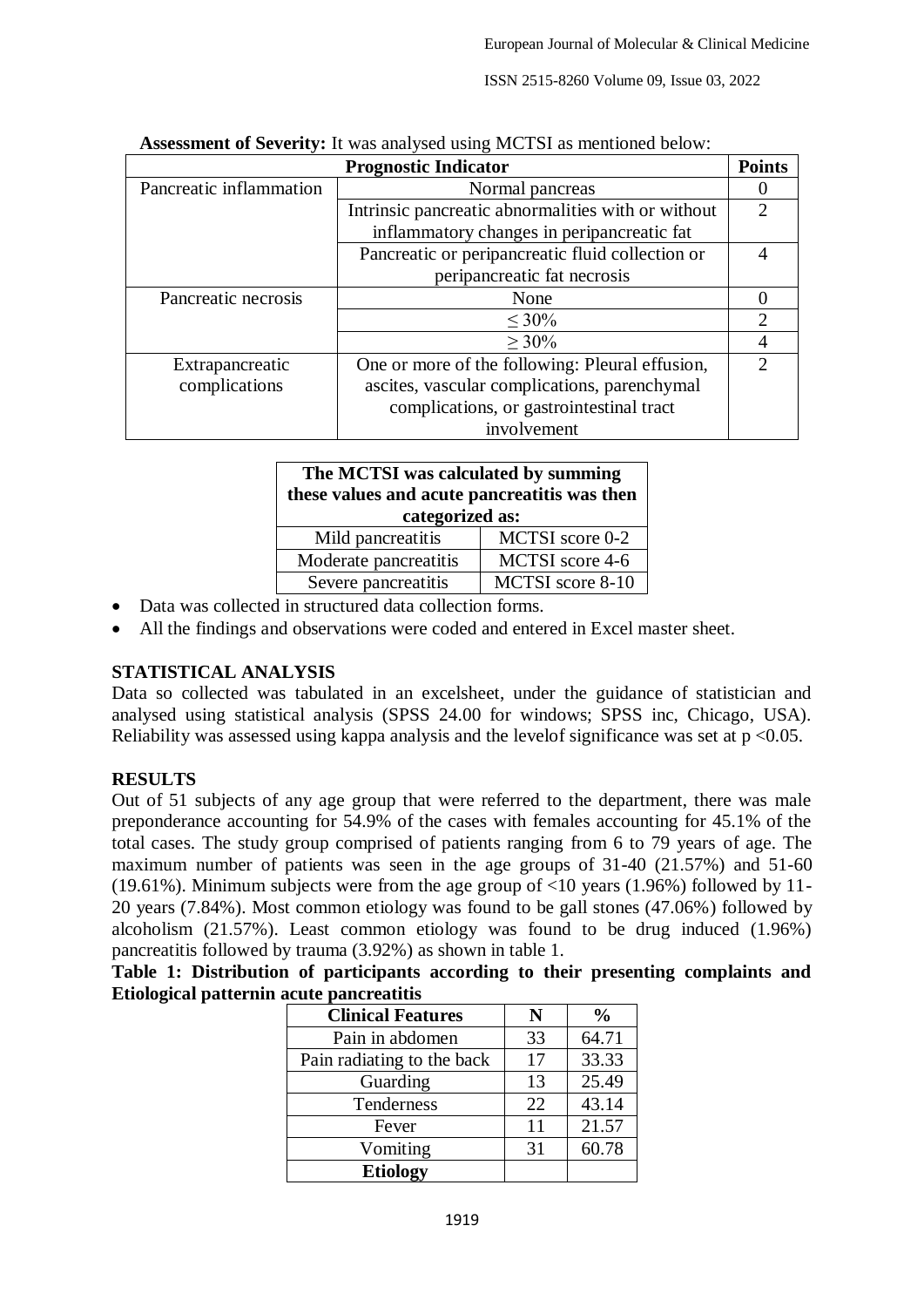| <b>Points</b><br><b>Prognostic Indicator</b> |                                                    |  |  |  |
|----------------------------------------------|----------------------------------------------------|--|--|--|
| Pancreatic inflammation                      | Normal pancreas                                    |  |  |  |
|                                              | Intrinsic pancreatic abnormalities with or without |  |  |  |
|                                              | inflammatory changes in peripancreatic fat         |  |  |  |
|                                              | Pancreatic or peripancreatic fluid collection or   |  |  |  |
|                                              | peripancreatic fat necrosis                        |  |  |  |
| Pancreatic necrosis                          | None                                               |  |  |  |
|                                              | $< 30\%$                                           |  |  |  |
|                                              | $>30\%$                                            |  |  |  |
| Extrapancreatic                              | One or more of the following: Pleural effusion,    |  |  |  |
| complications                                | ascites, vascular complications, parenchymal       |  |  |  |
|                                              | complications, or gastrointestinal tract           |  |  |  |
|                                              | involvement                                        |  |  |  |

| <b>Assessment of Severity:</b> It was analysed using MCTSI as mentioned below: |  |  |  |
|--------------------------------------------------------------------------------|--|--|--|
|--------------------------------------------------------------------------------|--|--|--|

| The MCTSI was calculated by summing<br>these values and acute pancreatitis was then<br>categorized as: |                  |  |  |  |
|--------------------------------------------------------------------------------------------------------|------------------|--|--|--|
| Mild pancreatitis                                                                                      | MCTSI score 0-2  |  |  |  |
| Moderate pancreatitis                                                                                  | MCTSI score 4-6  |  |  |  |
| Severe pancreatitis                                                                                    | MCTSI score 8-10 |  |  |  |

- Data was collected in structured data collection forms.
- All the findings and observations were coded and entered in Excel master sheet.

## **STATISTICAL ANALYSIS**

Data so collected was tabulated in an excelsheet, under the guidance of statistician and analysed using statistical analysis (SPSS 24.00 for windows; SPSS inc, Chicago, USA). Reliability was assessed using kappa analysis and the level of significance was set at  $p < 0.05$ .

### **RESULTS**

Out of 51 subjects of any age group that were referred to the department, there was male preponderance accounting for 54.9% of the cases with females accounting for 45.1% of the total cases. The study group comprised of patients ranging from 6 to 79 years of age. The maximum number of patients was seen in the age groups of 31-40 (21.57%) and 51-60 (19.61%). Minimum subjects were from the age group of  $\langle 10 \rangle$  years (1.96%) followed by 11-20 years (7.84%). Most common etiology was found to be gall stones (47.06%) followed by alcoholism (21.57%). Least common etiology was found to be drug induced (1.96%) pancreatitis followed by trauma (3.92%) as shown in table 1.

**Table 1: Distribution of participants according to their presenting complaints and Etiological patternin acute pancreatitis**

| <b>Clinical Features</b>   | N  | $\frac{0}{0}$ |
|----------------------------|----|---------------|
| Pain in abdomen            | 33 | 64.71         |
| Pain radiating to the back | 17 | 33.33         |
| Guarding                   | 13 | 25.49         |
| Tenderness                 | 22 | 43.14         |
| Fever                      | 11 | 21.57         |
| Vomiting                   | 31 | 60.78         |
| <b>Etiology</b>            |    |               |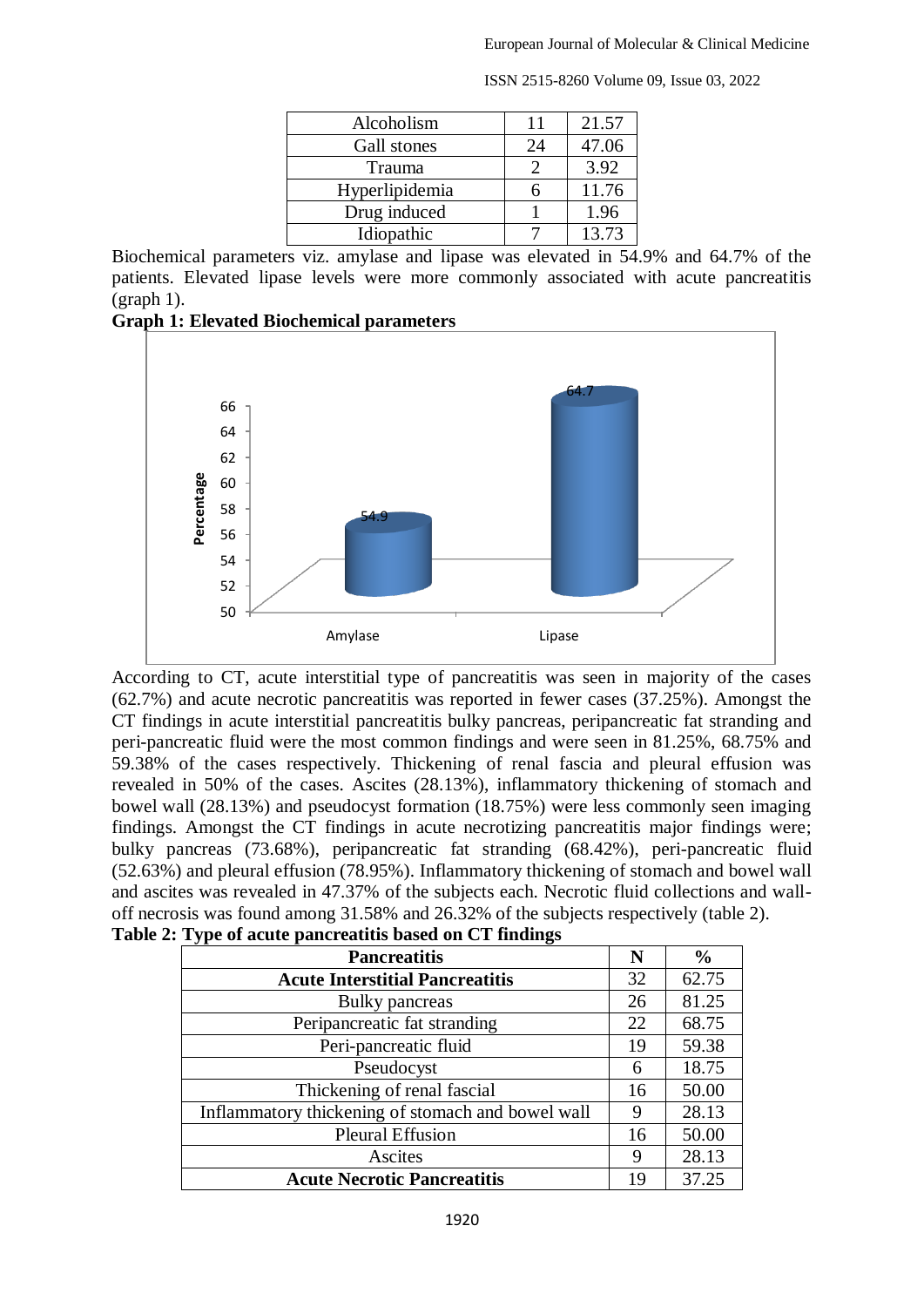| Alcoholism     | 11 | 21.57 |
|----------------|----|-------|
| Gall stones    | 24 | 47.06 |
| Trauma         |    | 3.92  |
| Hyperlipidemia | n  | 11.76 |
| Drug induced   |    | 1.96  |
| Idiopathic     |    | 13.73 |

Biochemical parameters viz. amylase and lipase was elevated in 54.9% and 64.7% of the patients. Elevated lipase levels were more commonly associated with acute pancreatitis (graph 1).





According to CT, acute interstitial type of pancreatitis was seen in majority of the cases (62.7%) and acute necrotic pancreatitis was reported in fewer cases (37.25%). Amongst the CT findings in acute interstitial pancreatitis bulky pancreas, peripancreatic fat stranding and peri-pancreatic fluid were the most common findings and were seen in 81.25%, 68.75% and 59.38% of the cases respectively. Thickening of renal fascia and pleural effusion was revealed in 50% of the cases. Ascites (28.13%), inflammatory thickening of stomach and bowel wall (28.13%) and pseudocyst formation (18.75%) were less commonly seen imaging findings. Amongst the CT findings in acute necrotizing pancreatitis major findings were; bulky pancreas (73.68%), peripancreatic fat stranding (68.42%), peri-pancreatic fluid (52.63%) and pleural effusion (78.95%). Inflammatory thickening of stomach and bowel wall and ascites was revealed in 47.37% of the subjects each. Necrotic fluid collections and walloff necrosis was found among 31.58% and 26.32% of the subjects respectively (table 2).

| . .<br>o<br><b>Pancreatitis</b>                   | N  | $\frac{6}{9}$ |
|---------------------------------------------------|----|---------------|
| <b>Acute Interstitial Pancreatitis</b>            | 32 | 62.75         |
| Bulky pancreas                                    | 26 | 81.25         |
| Peripancreatic fat stranding                      | 22 | 68.75         |
| Peri-pancreatic fluid                             | 19 | 59.38         |
| Pseudocyst                                        | 6  | 18.75         |
| Thickening of renal fascial                       | 16 | 50.00         |
| Inflammatory thickening of stomach and bowel wall | 9  | 28.13         |
| <b>Pleural Effusion</b>                           | 16 | 50.00         |
| Ascites                                           | 9  | 28.13         |
| <b>Acute Necrotic Pancreatitis</b>                | 19 | 37.25         |

| Table 2: Type of acute pancreatitis based on CT findings |  |  |  |  |
|----------------------------------------------------------|--|--|--|--|
|----------------------------------------------------------|--|--|--|--|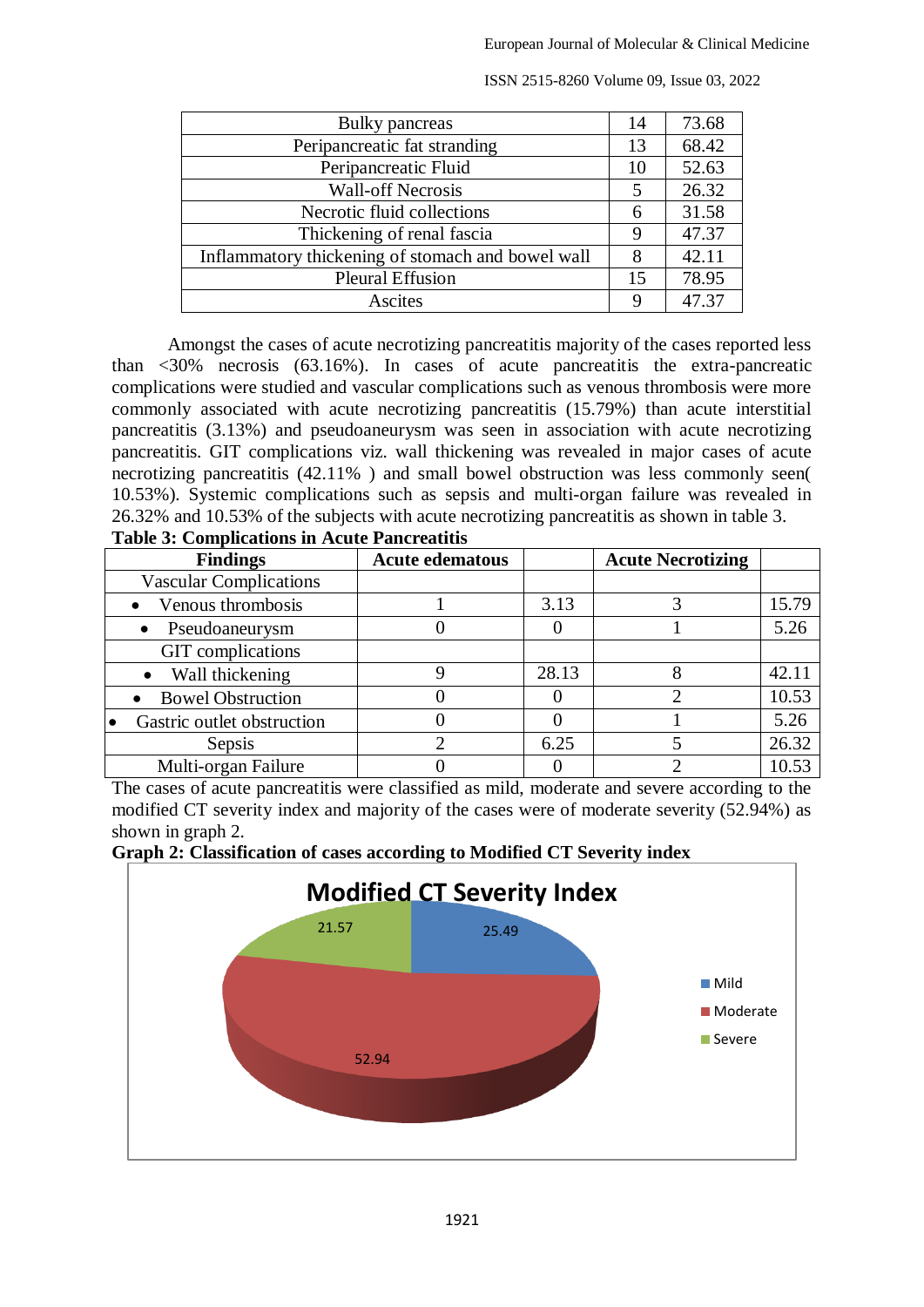| Bulky pancreas                                    | 14             | 73.68 |
|---------------------------------------------------|----------------|-------|
| Peripancreatic fat stranding                      | 13             | 68.42 |
| Peripancreatic Fluid                              | 10             | 52.63 |
| <b>Wall-off Necrosis</b>                          | $\overline{5}$ | 26.32 |
| Necrotic fluid collections                        |                | 31.58 |
| Thickening of renal fascia                        | 9              | 47.37 |
| Inflammatory thickening of stomach and bowel wall |                | 42.11 |
| <b>Pleural Effusion</b>                           |                | 78.95 |
| Ascites                                           | Q              | 47.37 |

Amongst the cases of acute necrotizing pancreatitis majority of the cases reported less than  $\langle 30\%$  necrosis (63.16%). In cases of acute pancreatitis the extra-pancreatic complications were studied and vascular complications such as venous thrombosis were more commonly associated with acute necrotizing pancreatitis (15.79%) than acute interstitial pancreatitis (3.13%) and pseudoaneurysm was seen in association with acute necrotizing pancreatitis. GIT complications viz. wall thickening was revealed in major cases of acute necrotizing pancreatitis (42.11%) and small bowel obstruction was less commonly seen( 10.53%). Systemic complications such as sepsis and multi-organ failure was revealed in 26.32% and 10.53% of the subjects with acute necrotizing pancreatitis as shown in table 3. **Table 3: Complications in Acute Pancreatitis**

| Table of Completations in Acate I ancientius |                        |       |                          |       |  |  |  |
|----------------------------------------------|------------------------|-------|--------------------------|-------|--|--|--|
| <b>Findings</b>                              | <b>Acute edematous</b> |       | <b>Acute Necrotizing</b> |       |  |  |  |
| <b>Vascular Complications</b>                |                        |       |                          |       |  |  |  |
| Venous thrombosis                            |                        | 3.13  |                          | 15.79 |  |  |  |
| Pseudoaneurysm                               |                        |       |                          | 5.26  |  |  |  |
| GIT complications                            |                        |       |                          |       |  |  |  |
| Wall thickening<br>$\bullet$                 |                        | 28.13 |                          | 42.11 |  |  |  |
| • Bowel Obstruction                          |                        |       |                          | 10.53 |  |  |  |
| Gastric outlet obstruction                   |                        |       |                          | 5.26  |  |  |  |
| Sepsis                                       |                        | 6.25  |                          | 26.32 |  |  |  |
| Multi-organ Failure                          |                        |       |                          | 10.53 |  |  |  |

The cases of acute pancreatitis were classified as mild, moderate and severe according to the modified CT severity index and majority of the cases were of moderate severity (52.94%) as shown in graph 2.



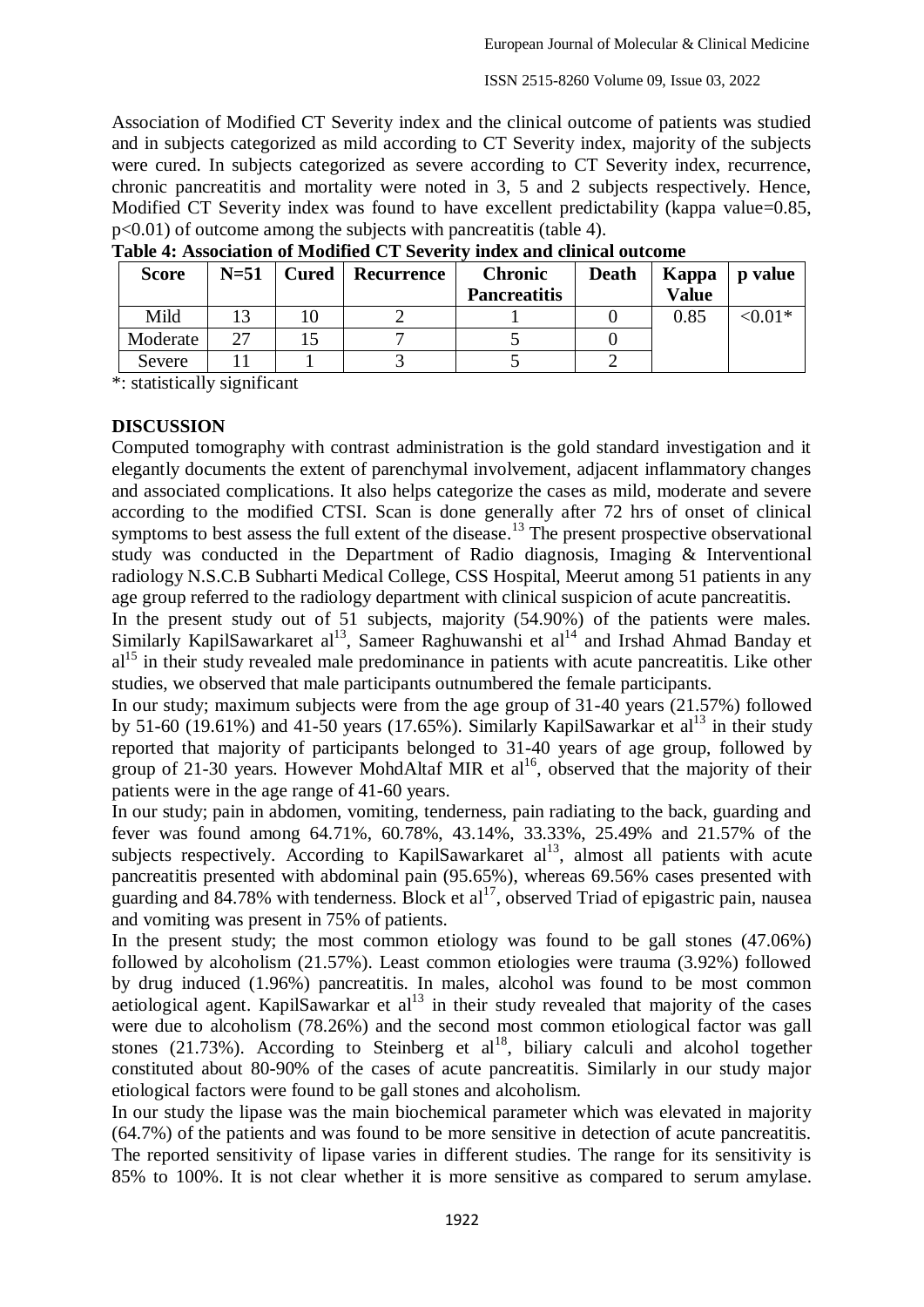Association of Modified CT Severity index and the clinical outcome of patients was studied and in subjects categorized as mild according to CT Severity index, majority of the subjects were cured. In subjects categorized as severe according to CT Severity index, recurrence, chronic pancreatitis and mortality were noted in 3, 5 and 2 subjects respectively. Hence, Modified CT Severity index was found to have excellent predictability (kappa value=0.85, p<0.01) of outcome among the subjects with pancreatitis (table 4).

| <b>Score</b> | $N=51$ | <b>Cured</b> | Recurrence | <b>Chronic</b><br><b>Pancreatitis</b> | <b>Death</b> | Kappa<br><b>Value</b> | <b>p</b> value |
|--------------|--------|--------------|------------|---------------------------------------|--------------|-----------------------|----------------|
| Mild         |        |              |            |                                       |              | 0.85                  | $< 0.01*$      |
| Moderate     |        |              |            |                                       |              |                       |                |
| Severe       |        |              |            |                                       |              |                       |                |

**Table 4: Association of Modified CT Severity index and clinical outcome**

\*: statistically significant

#### **DISCUSSION**

Computed tomography with contrast administration is the gold standard investigation and it elegantly documents the extent of parenchymal involvement, adjacent inflammatory changes and associated complications. It also helps categorize the cases as mild, moderate and severe according to the modified CTSI. Scan is done generally after 72 hrs of onset of clinical symptoms to best assess the full extent of the disease.<sup>13</sup> The present prospective observational study was conducted in the Department of Radio diagnosis, Imaging & Interventional radiology N.S.C.B Subharti Medical College, CSS Hospital, Meerut among 51 patients in any age group referred to the radiology department with clinical suspicion of acute pancreatitis.

In the present study out of 51 subjects, majority (54.90%) of the patients were males. Similarly KapilSawarkaret al<sup>13</sup>, Sameer Raghuwanshi et al<sup>14</sup> and Irshad Ahmad Banday et  $al<sup>15</sup>$  in their study revealed male predominance in patients with acute pancreatitis. Like other studies, we observed that male participants outnumbered the female participants.

In our study; maximum subjects were from the age group of 31-40 years (21.57%) followed by 51-60 (19.61%) and 41-50 years (17.65%). Similarly KapilSawarkar et al<sup>13</sup> in their study reported that majority of participants belonged to 31-40 years of age group, followed by group of 21-30 years. However MohdAltaf MIR et al<sup>16</sup>, observed that the majority of their patients were in the age range of 41-60 years.

In our study; pain in abdomen, vomiting, tenderness, pain radiating to the back, guarding and fever was found among 64.71%, 60.78%, 43.14%, 33.33%, 25.49% and 21.57% of the subjects respectively. According to KapilSawarkaret  $al<sup>13</sup>$ , almost all patients with acute pancreatitis presented with abdominal pain (95.65%), whereas 69.56% cases presented with guarding and 84.78% with tenderness. Block et al<sup>17</sup>, observed Triad of epigastric pain, nausea and vomiting was present in 75% of patients.

In the present study; the most common etiology was found to be gall stones (47.06%) followed by alcoholism (21.57%). Least common etiologies were trauma (3.92%) followed by drug induced (1.96%) pancreatitis. In males, alcohol was found to be most common aetiological agent. KapilSawarkar et  $al<sup>13</sup>$  in their study revealed that majority of the cases were due to alcoholism (78.26%) and the second most common etiological factor was gall stones  $(21.73%)$ . According to Steinberg et al<sup>18</sup>, biliary calculi and alcohol together constituted about 80-90% of the cases of acute pancreatitis. Similarly in our study major etiological factors were found to be gall stones and alcoholism.

In our study the lipase was the main biochemical parameter which was elevated in majority (64.7%) of the patients and was found to be more sensitive in detection of acute pancreatitis. The reported sensitivity of lipase varies in different studies. The range for its sensitivity is 85% to 100%. It is not clear whether it is more sensitive as compared to serum amylase.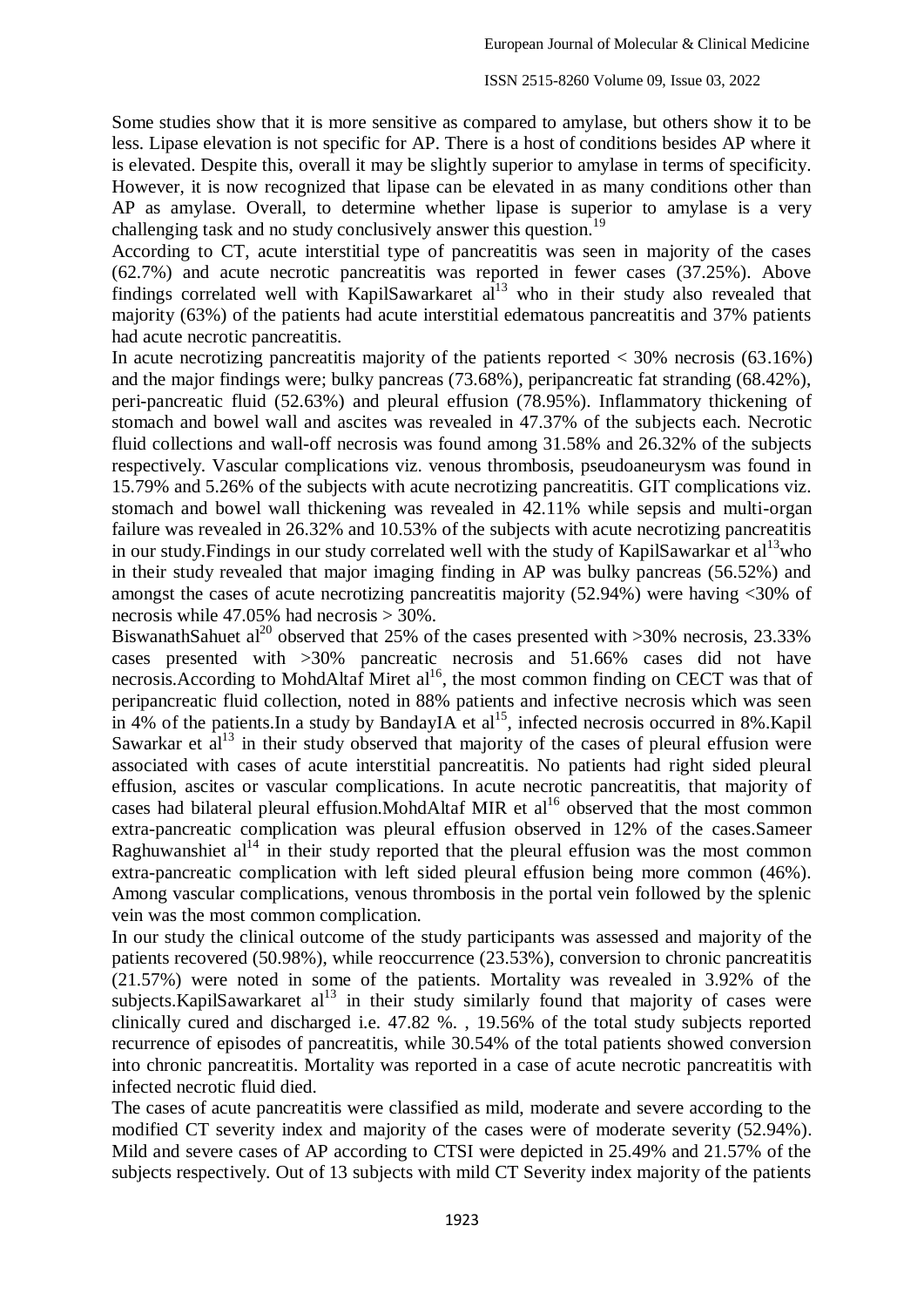Some studies show that it is more sensitive as compared to amylase, but others show it to be less. Lipase elevation is not specific for AP. There is a host of conditions besides AP where it is elevated. Despite this, overall it may be slightly superior to amylase in terms of specificity. However, it is now recognized that lipase can be elevated in as many conditions other than AP as amylase. Overall, to determine whether lipase is superior to amylase is a very challenging task and no study conclusively answer this question.<sup>19</sup>

According to CT, acute interstitial type of pancreatitis was seen in majority of the cases (62.7%) and acute necrotic pancreatitis was reported in fewer cases (37.25%). Above findings correlated well with KapilSawarkaret al<sup>13</sup> who in their study also revealed that majority (63%) of the patients had acute interstitial edematous pancreatitis and 37% patients had acute necrotic pancreatitis.

In acute necrotizing pancreatitis majority of the patients reported  $<$  30% necrosis (63.16%) and the major findings were; bulky pancreas (73.68%), peripancreatic fat stranding (68.42%), peri-pancreatic fluid (52.63%) and pleural effusion (78.95%). Inflammatory thickening of stomach and bowel wall and ascites was revealed in 47.37% of the subjects each. Necrotic fluid collections and wall-off necrosis was found among 31.58% and 26.32% of the subjects respectively. Vascular complications viz. venous thrombosis, pseudoaneurysm was found in 15.79% and 5.26% of the subjects with acute necrotizing pancreatitis. GIT complications viz. stomach and bowel wall thickening was revealed in 42.11% while sepsis and multi-organ failure was revealed in 26.32% and 10.53% of the subjects with acute necrotizing pancreatitis in our study.Findings in our study correlated well with the study of KapilSawarkar et al<sup>13</sup>who in their study revealed that major imaging finding in AP was bulky pancreas (56.52%) and amongst the cases of acute necrotizing pancreatitis majority (52.94%) were having <30% of necrosis while 47.05% had necrosis > 30%.

BiswanathSahuet al<sup>20</sup> observed that 25% of the cases presented with  $>30\%$  necrosis, 23.33% cases presented with >30% pancreatic necrosis and 51.66% cases did not have necrosis.According to MohdAltaf Miret al<sup>16</sup>, the most common finding on CECT was that of peripancreatic fluid collection, noted in 88% patients and infective necrosis which was seen in 4% of the patients. In a study by BandayIA et al<sup>15</sup>, infected necrosis occurred in 8%. Kapil Sawarkar et  $a^{13}$  in their study observed that majority of the cases of pleural effusion were associated with cases of acute interstitial pancreatitis. No patients had right sided pleural effusion, ascites or vascular complications. In acute necrotic pancreatitis, that majority of cases had bilateral pleural effusion. MohdAltaf MIR et al<sup>16</sup> observed that the most common extra-pancreatic complication was pleural effusion observed in 12% of the cases.Sameer Raghuwanshiet  $al<sup>14</sup>$  in their study reported that the pleural effusion was the most common extra-pancreatic complication with left sided pleural effusion being more common (46%). Among vascular complications, venous thrombosis in the portal vein followed by the splenic vein was the most common complication.

In our study the clinical outcome of the study participants was assessed and majority of the patients recovered (50.98%), while reoccurrence (23.53%), conversion to chronic pancreatitis  $(21.57%)$  were noted in some of the patients. Mortality was revealed in 3.92% of the subjects. KapilSawarkaret  $al<sup>13</sup>$  in their study similarly found that majority of cases were clinically cured and discharged i.e. 47.82 %. , 19.56% of the total study subjects reported recurrence of episodes of pancreatitis, while 30.54% of the total patients showed conversion into chronic pancreatitis. Mortality was reported in a case of acute necrotic pancreatitis with infected necrotic fluid died.

The cases of acute pancreatitis were classified as mild, moderate and severe according to the modified CT severity index and majority of the cases were of moderate severity (52.94%). Mild and severe cases of AP according to CTSI were depicted in 25.49% and 21.57% of the subjects respectively. Out of 13 subjects with mild CT Severity index majority of the patients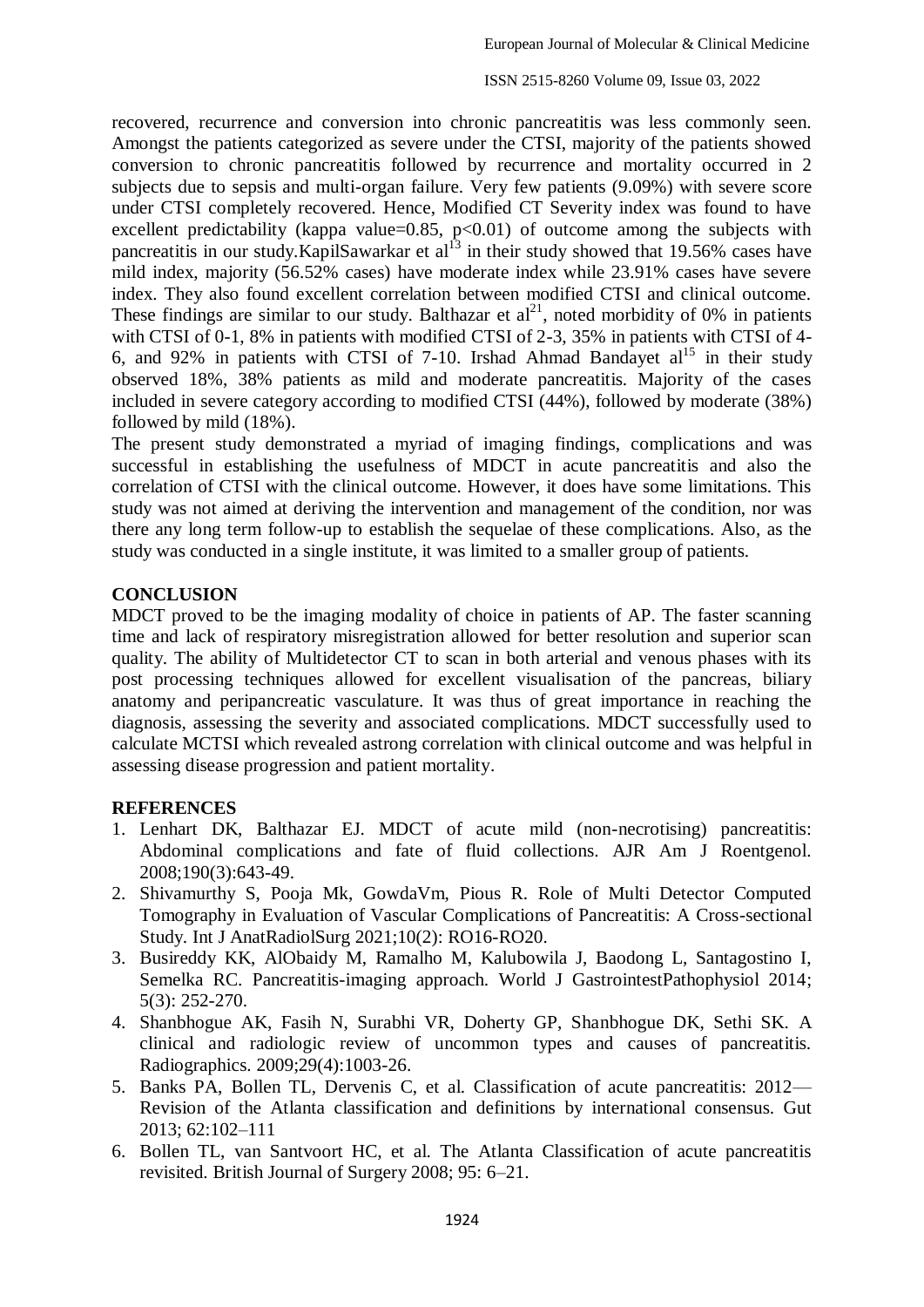recovered, recurrence and conversion into chronic pancreatitis was less commonly seen. Amongst the patients categorized as severe under the CTSI, majority of the patients showed conversion to chronic pancreatitis followed by recurrence and mortality occurred in 2 subjects due to sepsis and multi-organ failure. Very few patients (9.09%) with severe score under CTSI completely recovered. Hence, Modified CT Severity index was found to have excellent predictability (kappa value= $0.85$ , p< $0.01$ ) of outcome among the subjects with pancreatitis in our study.KapilSawarkar et  $al<sup>13</sup>$  in their study showed that 19.56% cases have mild index, majority (56.52% cases) have moderate index while 23.91% cases have severe index. They also found excellent correlation between modified CTSI and clinical outcome. These findings are similar to our study. Balthazar et  $al<sup>21</sup>$ , noted morbidity of 0% in patients with CTSI of 0-1, 8% in patients with modified CTSI of 2-3, 35% in patients with CTSI of 4-6, and 92% in patients with CTSI of 7-10. Irshad Ahmad Bandayet  $al<sup>15</sup>$  in their study observed 18%, 38% patients as mild and moderate pancreatitis. Majority of the cases included in severe category according to modified CTSI (44%), followed by moderate (38%) followed by mild (18%).

The present study demonstrated a myriad of imaging findings, complications and was successful in establishing the usefulness of MDCT in acute pancreatitis and also the correlation of CTSI with the clinical outcome. However, it does have some limitations. This study was not aimed at deriving the intervention and management of the condition, nor was there any long term follow-up to establish the sequelae of these complications. Also, as the study was conducted in a single institute, it was limited to a smaller group of patients.

### **CONCLUSION**

MDCT proved to be the imaging modality of choice in patients of AP. The faster scanning time and lack of respiratory misregistration allowed for better resolution and superior scan quality. The ability of Multidetector CT to scan in both arterial and venous phases with its post processing techniques allowed for excellent visualisation of the pancreas, biliary anatomy and peripancreatic vasculature. It was thus of great importance in reaching the diagnosis, assessing the severity and associated complications. MDCT successfully used to calculate MCTSI which revealed astrong correlation with clinical outcome and was helpful in assessing disease progression and patient mortality.

### **REFERENCES**

- 1. Lenhart DK, Balthazar EJ. MDCT of acute mild (non-necrotising) pancreatitis: Abdominal complications and fate of fluid collections. AJR Am J Roentgenol. 2008;190(3):643-49.
- 2. Shivamurthy S, Pooja Mk, GowdaVm, Pious R. Role of Multi Detector Computed Tomography in Evaluation of Vascular Complications of Pancreatitis: A Cross-sectional Study. Int J AnatRadiolSurg 2021;10(2): RO16-RO20.
- 3. Busireddy KK, AlObaidy M, Ramalho M, Kalubowila J, Baodong L, Santagostino I, Semelka RC. Pancreatitis-imaging approach. World J GastrointestPathophysiol 2014; 5(3): 252-270.
- 4. Shanbhogue AK, Fasih N, Surabhi VR, Doherty GP, Shanbhogue DK, Sethi SK. A clinical and radiologic review of uncommon types and causes of pancreatitis. Radiographics. 2009;29(4):1003-26.
- 5. Banks PA, Bollen TL, Dervenis C, et al. Classification of acute pancreatitis: 2012— Revision of the Atlanta classification and definitions by international consensus. Gut 2013; 62:102–111
- 6. Bollen TL, van Santvoort HC, et al. The Atlanta Classification of acute pancreatitis revisited. British Journal of Surgery 2008; 95: 6–21.